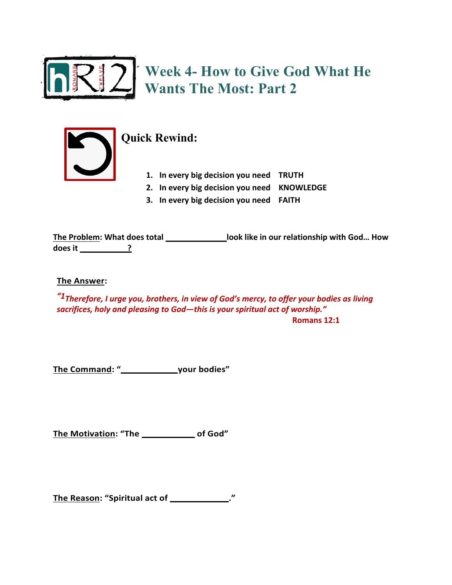

**Week 4- How to Give God What He Wants The Most: Part 2**



## **Quick Rewind:**

- **1. In every big decision you need TRUTH**
- **2. In every big decision you need KNOWLEDGE**
- **3. In every big decision you need FAITH**

**The Problem: What does total \_\_\_\_\_\_\_\_\_\_\_\_\_\_\_\_\_look like in our relationship with God... How does it \_\_\_\_\_\_\_\_\_\_\_\_\_?** 

**The Answer:**

*"1Therefore, I urge you, brothers, in view of God's mercy, to offer your bodies as living sacrifices, holy and pleasing to God—this is your spiritual act of worship."* **Romans 12:1** 

**The Command: "OFFER \_\_\_\_\_\_your bodies"**

The Motivation: "The **Constant Constant** of God"

The Reason: "Spiritual act of \_\_\_\_\_\_\_\_\_\_\_\_\_."